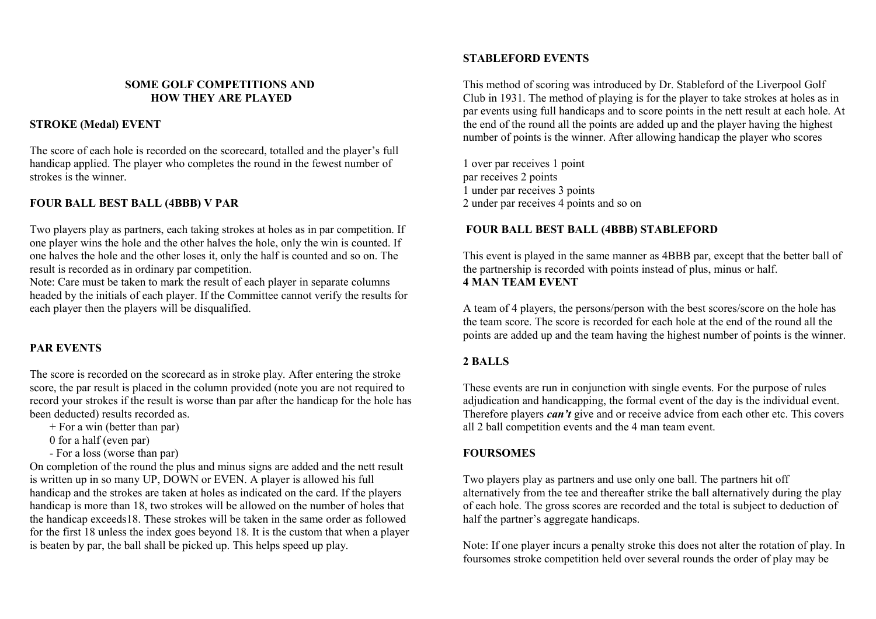#### **SOME GOLF COMPETITIONS AND HOW THEY ARE PLAYED**

### **STROKE (Medal) EVENT**

The score of each hole is recorded on the scorecard, totalled and the player's full handicap applied. The player who completes the round in the fewest number of strokes is the winner.

### **FOUR BALL BEST BALL (4BBB) V PAR**

Two players play as partners, each taking strokes at holes as in par competition. If one player wins the hole and the other halves the hole, only the win is counted. If one halves the hole and the other loses it, only the half is counted and so on. The result is recorded as in ordinary par competition.

Note: Care must be taken to mark the result of each player in separate columns headed by the initials of each player. If the Committee cannot verify the results for each player then the players will be disqualified.

#### **PAR EVENTS**

The score is recorded on the scorecard as in stroke play. After entering the stroke score, the par result is placed in the column provided (note you are not required to record your strokes if the result is worse than par after the handicap for the hole has been deducted) results recorded as.

+ For a win (better than par)

0 for a half (even par)

- For a loss (worse than par)

On completion of the round the plus and minus signs are added and the nett result is written up in so many UP, DOWN or EVEN. A player is allowed his full handicap and the strokes are taken at holes as indicated on the card. If the players handicap is more than 18, two strokes will be allowed on the number of holes that the handicap exceeds18. These strokes will be taken in the same order as followed for the first 18 unless the index goes beyond 18. It is the custom that when a player is beaten by par, the ball shall be picked up. This helps speed up play.

#### **STABLEFORD EVENTS**

This method of scoring was introduced by Dr. Stableford of the Liverpool Golf Club in 1931. The method of playing is for the player to take strokes at holes as in par events using full handicaps and to score points in the nett result at each hole. At the end of the round all the points are added up and the player having the highest number of points is the winner. After allowing handicap the player who scores

1 over par receives 1 point par receives 2 points 1 under par receives 3 points 2 under par receives 4 points and so on

#### **FOUR BALL BEST BALL (4BBB) STABLEFORD**

This event is played in the same manner as 4BBB par, except that the better ball of the partnership is recorded with points instead of plus, minus or half. **4 MAN TEAM EVENT**

A team of 4 players, the persons/person with the best scores/score on the hole has the team score. The score is recorded for each hole at the end of the round all the points are added up and the team having the highest number of points is the winner.

#### **2 BALLS**

These events are run in conjunction with single events. For the purpose of rules adjudication and handicapping, the formal event of the day is the individual event. Therefore players *can't* give and or receive advice from each other etc. This covers all 2 ball competition events and the 4 man team event.

#### **FOURSOMES**

Two players play as partners and use only one ball. The partners hit off alternatively from the tee and thereafter strike the ball alternatively during the play of each hole. The gross scores are recorded and the total is subject to deduction of half the partner's aggregate handicaps.

Note: If one player incurs a penalty stroke this does not alter the rotation of play. In foursomes stroke competition held over several rounds the order of play may be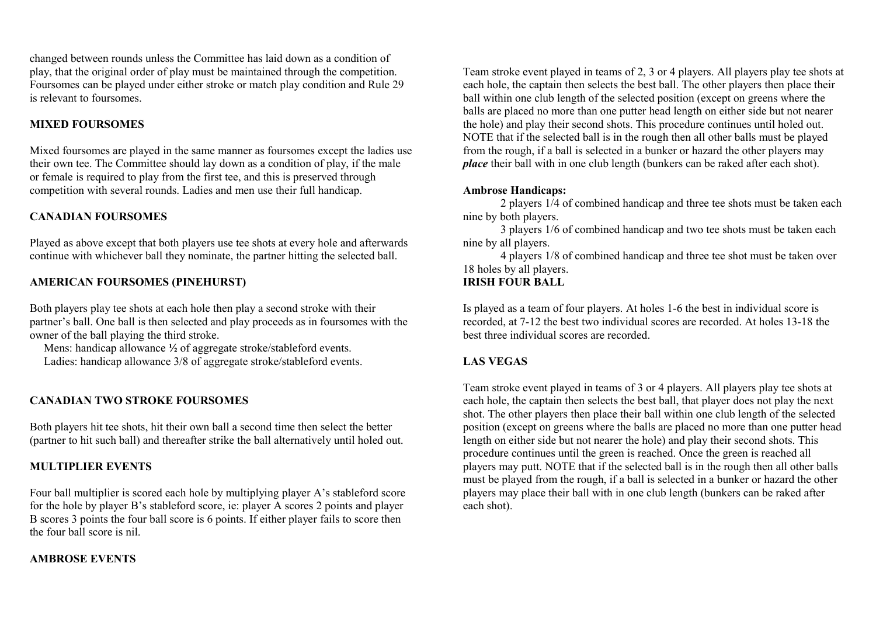changed between rounds unless the Committee has laid down as a condition of play, that the original order of play must be maintained through the competition. Foursomes can be played under either stroke or match play condition and Rule 29 is relevant to foursomes.

## **MIXED FOURSOMES**

Mixed foursomes are played in the same manner as foursomes except the ladies use their own tee. The Committee should lay down as a condition of play, if the male or female is required to play from the first tee, and this is preserved through competition with several rounds. Ladies and men use their full handicap.

# **CANADIAN FOURSOMES**

Played as above except that both players use tee shots at every hole and afterwards continue with whichever ball they nominate, the partner hitting the selected ball.

# **AMERICAN FOURSOMES (PINEHURST)**

Both players play tee shots at each hole then play a second stroke with their partner's ball. One ball is then selected and play proceeds as in foursomes with the owner of the ball playing the third stroke.

Mens: handicap allowance **½** of aggregate stroke/stableford events.

Ladies: handicap allowance 3/8 of aggregate stroke/stableford events.

# **CANADIAN TWO STROKE FOURSOMES**

Both players hit tee shots, hit their own ball a second time then select the better (partner to hit such ball) and thereafter strike the ball alternatively until holed out.

# **MULTIPLIER EVENTS**

Four ball multiplier is scored each hole by multiplying player A's stableford score for the hole by player B's stableford score, ie: player A scores 2 points and player B scores 3 points the four ball score is 6 points. If either player fails to score then the four ball score is nil.

### **AMBROSE EVENTS**

Team stroke event played in teams of 2, 3 or 4 players. All players play tee shots at each hole, the captain then selects the best ball. The other players then place their ball within one club length of the selected position (except on greens where the balls are placed no more than one putter head length on either side but not nearer the hole) and play their second shots. This procedure continues until holed out. NOTE that if the selected ball is in the rough then all other balls must be played from the rough, if a ball is selected in a bunker or hazard the other players may *place* their ball with in one club length (bunkers can be raked after each shot).

### **Ambrose Handicaps:**

2 players 1/4 of combined handicap and three tee shots must be taken each nine by both players.

3 players 1/6 of combined handicap and two tee shots must be taken each nine by all players.

4 players 1/8 of combined handicap and three tee shot must be taken over 18 holes by all players.

## **IRISH FOUR BALL**

Is played as a team of four players. At holes 1-6 the best in individual score is recorded, at 7-12 the best two individual scores are recorded. At holes 13-18 the best three individual scores are recorded.

### **LAS VEGAS**

Team stroke event played in teams of 3 or 4 players. All players play tee shots at each hole, the captain then selects the best ball, that player does not play the next shot. The other players then place their ball within one club length of the selected position (except on greens where the balls are placed no more than one putter head length on either side but not nearer the hole) and play their second shots. This procedure continues until the green is reached. Once the green is reached all players may putt. NOTE that if the selected ball is in the rough then all other balls must be played from the rough, if a ball is selected in a bunker or hazard the other players may place their ball with in one club length (bunkers can be raked after each shot).